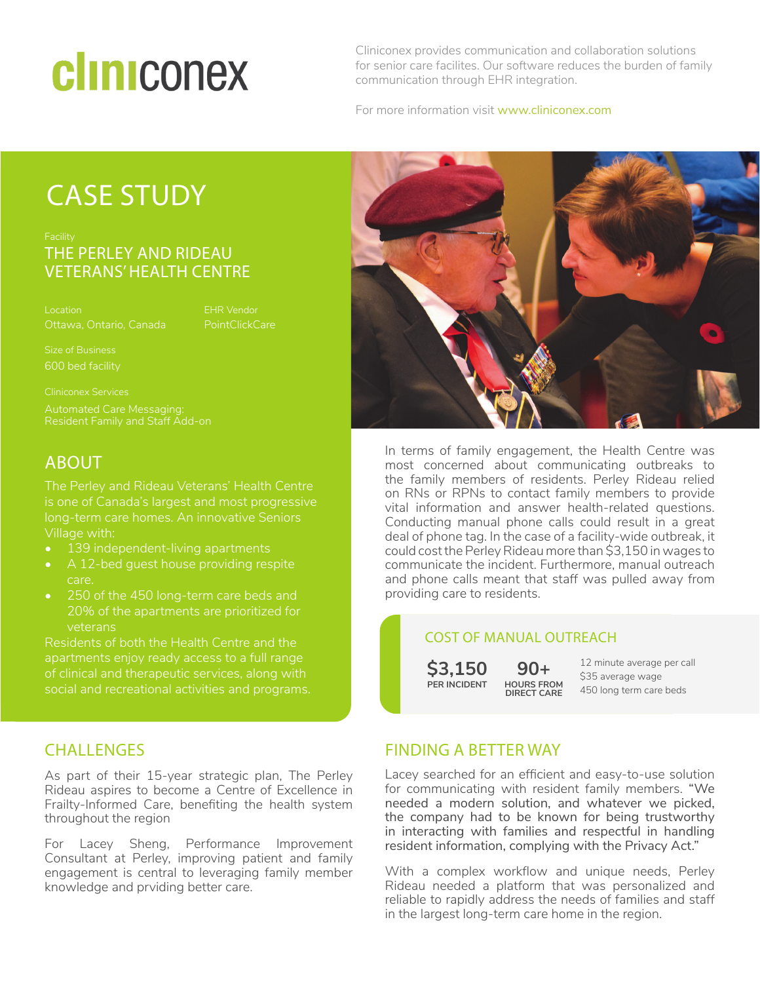# cliniconex

Cliniconex provides communication and collaboration solutions for senior care facilites. Our software reduces the burden of family communication through EHR integration.

For more information visit www.cliniconex.com

### CASE STUDY

### THE PERLEY AND RIDEAU VETERANS' HEALTH CENTRE

Ottawa, Ontario, Canada

EHR Vendor **PointClickCare** 

600 bed facility

Cliniconex Services

#### ABOUT

The Perley and Rideau Veterans' Health Centre is one of Canada's largest and most progressive long-term care homes. An innovative Seniors Village with:

- 139 independent-living apartments
- A 12-bed guest house providing respite care.
- 20% of the apartments are prioritized for veterans

Residents of both the Health Centre and the apartments enjoy ready access to a full range of clinical and therapeutic services, along with

#### **CHALLENGES**

As part of their 15-year strategic plan, The Perley Rideau aspires to become a Centre of Excellence in Frailty-Informed Care, benefiting the health system throughout the region

For Lacey Sheng, Performance Improvement Consultant at Perley, improving patient and family engagement is central to leveraging family member knowledge and prviding better care.



In terms of family engagement, the Health Centre was most concerned about communicating outbreaks to the family members of residents. Perley Rideau relied on RNs or RPNs to contact family members to provide vital information and answer health-related questions. Conducting manual phone calls could result in a great deal of phone tag. In the case of a facility-wide outbreak, it could cost the Perley Rideau more than \$3,150 in wages to communicate the incident. Furthermore, manual outreach and phone calls meant that staff was pulled away from providing care to residents.

#### COST OF MANUAL OUTREACH

**\$3,150 PER INCIDENT**

**90+ HOURS FROM DIRECT CARE**

12 minute average per call \$35 average wage 450 long term care beds

#### FINDING A BETTER WAY

Lacey searched for an efficient and easy-to-use solution for communicating with resident family members. "We needed a modern solution, and whatever we picked, the company had to be known for being trustworthy in interacting with families and respectful in handling resident information, complying with the Privacy Act."

With a complex workflow and unique needs, Perley Rideau needed a platform that was personalized and reliable to rapidly address the needs of families and staff in the largest long-term care home in the region.